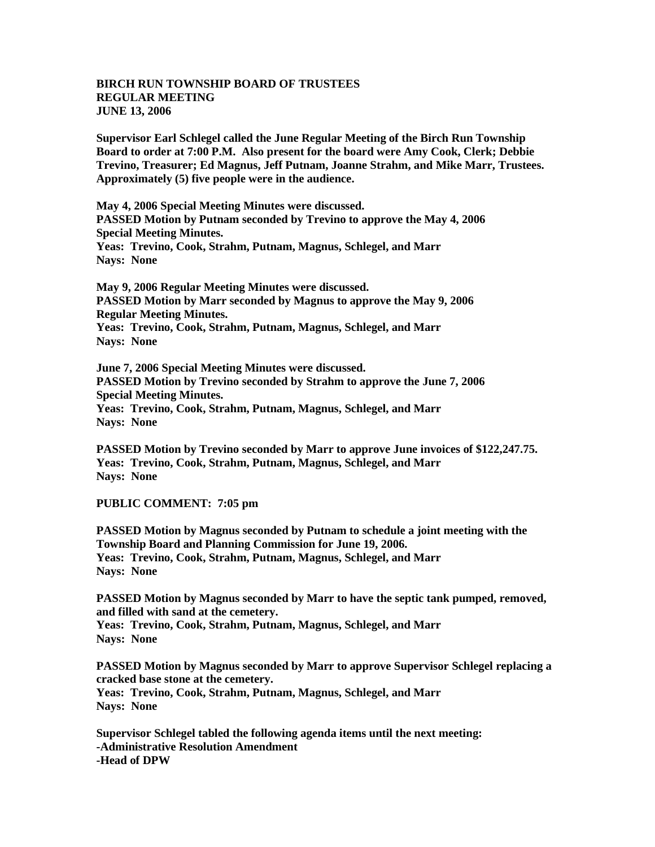## **BIRCH RUN TOWNSHIP BOARD OF TRUSTEES REGULAR MEETING JUNE 13, 2006**

**Supervisor Earl Schlegel called the June Regular Meeting of the Birch Run Township Board to order at 7:00 P.M. Also present for the board were Amy Cook, Clerk; Debbie Trevino, Treasurer; Ed Magnus, Jeff Putnam, Joanne Strahm, and Mike Marr, Trustees. Approximately (5) five people were in the audience.** 

**May 4, 2006 Special Meeting Minutes were discussed. PASSED Motion by Putnam seconded by Trevino to approve the May 4, 2006 Special Meeting Minutes. Yeas: Trevino, Cook, Strahm, Putnam, Magnus, Schlegel, and Marr Nays: None**

**May 9, 2006 Regular Meeting Minutes were discussed. PASSED Motion by Marr seconded by Magnus to approve the May 9, 2006 Regular Meeting Minutes. Yeas: Trevino, Cook, Strahm, Putnam, Magnus, Schlegel, and Marr Nays: None**

**June 7, 2006 Special Meeting Minutes were discussed. PASSED Motion by Trevino seconded by Strahm to approve the June 7, 2006 Special Meeting Minutes. Yeas: Trevino, Cook, Strahm, Putnam, Magnus, Schlegel, and Marr Nays: None**

**PASSED Motion by Trevino seconded by Marr to approve June invoices of \$122,247.75. Yeas: Trevino, Cook, Strahm, Putnam, Magnus, Schlegel, and Marr Nays: None**

**PUBLIC COMMENT: 7:05 pm**

**PASSED Motion by Magnus seconded by Putnam to schedule a joint meeting with the Township Board and Planning Commission for June 19, 2006. Yeas: Trevino, Cook, Strahm, Putnam, Magnus, Schlegel, and Marr Nays: None**

**PASSED Motion by Magnus seconded by Marr to have the septic tank pumped, removed, and filled with sand at the cemetery. Yeas: Trevino, Cook, Strahm, Putnam, Magnus, Schlegel, and Marr Nays: None**

**PASSED Motion by Magnus seconded by Marr to approve Supervisor Schlegel replacing a cracked base stone at the cemetery. Yeas: Trevino, Cook, Strahm, Putnam, Magnus, Schlegel, and Marr Nays: None**

**Supervisor Schlegel tabled the following agenda items until the next meeting: -Administrative Resolution Amendment -Head of DPW**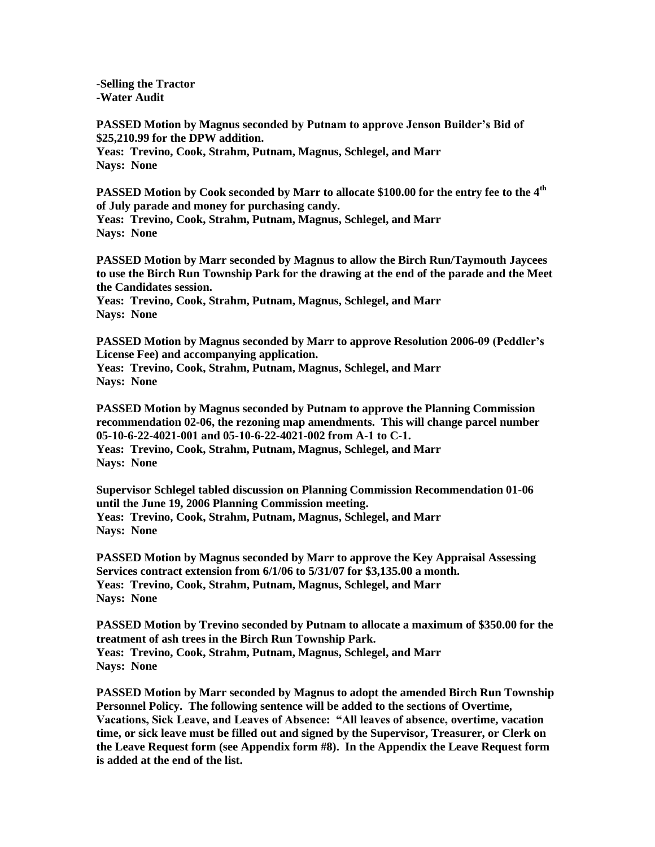**-Selling the Tractor -Water Audit**

**PASSED Motion by Magnus seconded by Putnam to approve Jenson Builder's Bid of \$25,210.99 for the DPW addition. Yeas: Trevino, Cook, Strahm, Putnam, Magnus, Schlegel, and Marr Nays: None**

**PASSED Motion by Cook seconded by Marr to allocate \$100.00 for the entry fee to the 4th of July parade and money for purchasing candy.**

**Yeas: Trevino, Cook, Strahm, Putnam, Magnus, Schlegel, and Marr Nays: None**

**PASSED Motion by Marr seconded by Magnus to allow the Birch Run/Taymouth Jaycees to use the Birch Run Township Park for the drawing at the end of the parade and the Meet the Candidates session.**

**Yeas: Trevino, Cook, Strahm, Putnam, Magnus, Schlegel, and Marr Nays: None**

**PASSED Motion by Magnus seconded by Marr to approve Resolution 2006-09 (Peddler's License Fee) and accompanying application. Yeas: Trevino, Cook, Strahm, Putnam, Magnus, Schlegel, and Marr**

**Nays: None**

**PASSED Motion by Magnus seconded by Putnam to approve the Planning Commission recommendation 02-06, the rezoning map amendments. This will change parcel number 05-10-6-22-4021-001 and 05-10-6-22-4021-002 from A-1 to C-1. Yeas: Trevino, Cook, Strahm, Putnam, Magnus, Schlegel, and Marr**

**Nays: None**

**Supervisor Schlegel tabled discussion on Planning Commission Recommendation 01-06 until the June 19, 2006 Planning Commission meeting. Yeas: Trevino, Cook, Strahm, Putnam, Magnus, Schlegel, and Marr Nays: None**

**PASSED Motion by Magnus seconded by Marr to approve the Key Appraisal Assessing Services contract extension from 6/1/06 to 5/31/07 for \$3,135.00 a month. Yeas: Trevino, Cook, Strahm, Putnam, Magnus, Schlegel, and Marr Nays: None**

**PASSED Motion by Trevino seconded by Putnam to allocate a maximum of \$350.00 for the treatment of ash trees in the Birch Run Township Park. Yeas: Trevino, Cook, Strahm, Putnam, Magnus, Schlegel, and Marr Nays: None**

**PASSED Motion by Marr seconded by Magnus to adopt the amended Birch Run Township Personnel Policy. The following sentence will be added to the sections of Overtime, Vacations, Sick Leave, and Leaves of Absence: "All leaves of absence, overtime, vacation time, or sick leave must be filled out and signed by the Supervisor, Treasurer, or Clerk on the Leave Request form (see Appendix form #8). In the Appendix the Leave Request form is added at the end of the list.**